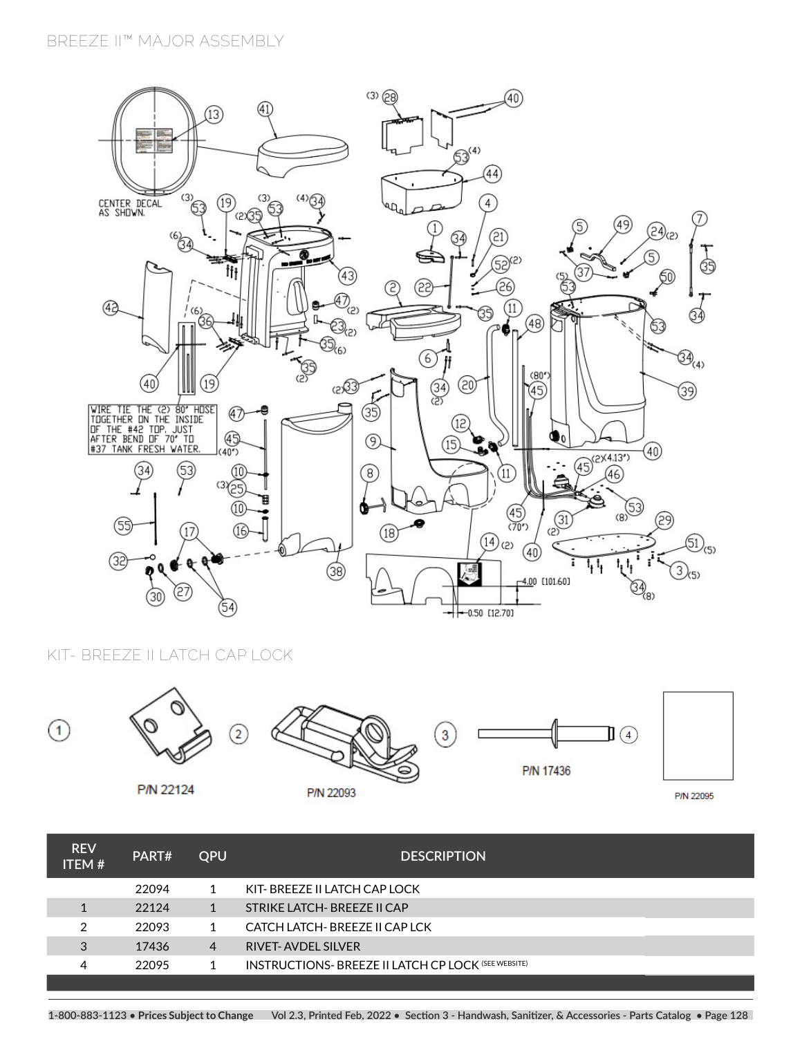## **BREEZE II™ MAJOR ASSEMBLY**



**KIT- BREEZE II LATCH CAP LOCK**



| <b>REV</b><br><b>ITEM#</b> | PART# | <b>OPU</b> | <b>DESCRIPTION</b>                                         |  |
|----------------------------|-------|------------|------------------------------------------------------------|--|
|                            | 22094 |            | KIT- BREEZE II LATCH CAP LOCK                              |  |
|                            | 22124 |            | STRIKE LATCH- BREEZE II CAP                                |  |
| 2                          | 22093 |            | CATCH LATCH- BREEZE II CAP LCK                             |  |
| 3                          | 17436 | 4          | <b>RIVET-AVDEL SILVER</b>                                  |  |
| 4                          | 22095 |            | <b>INSTRUCTIONS- BREEZE II LATCH CP LOCK (SEE WEBSITE)</b> |  |
|                            |       |            |                                                            |  |